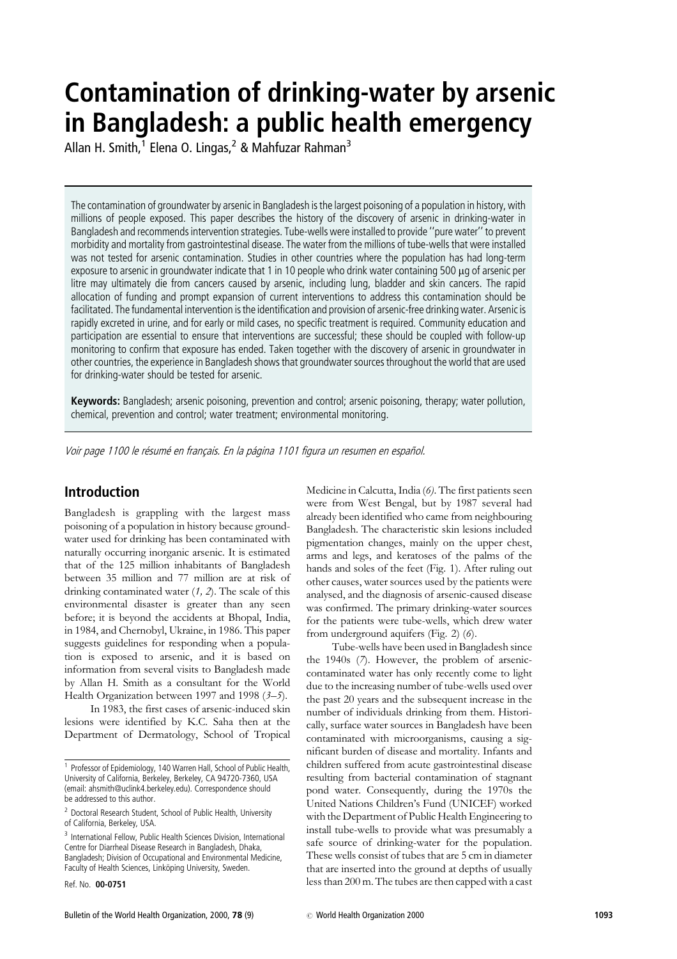# Contamination of drinking-water by arsenic in Bangladesh: a public health emergency

Allan H. Smith,<sup>1</sup> Elena O. Lingas,<sup>2</sup> & Mahfuzar Rahman<sup>3</sup>

The contamination of groundwater by arsenic in Bangladesh is the largest poisoning of a population in history, with millions of people exposed. This paper describes the history of the discovery of arsenic in drinking-water in Bangladesh and recommends intervention strategies. Tube-wells were installed to provide ''pure water'' to prevent morbidity and mortality from gastrointestinal disease. The water from the millions of tube-wells that were installed was not tested for arsenic contamination. Studies in other countries where the population has had long-term exposure to arsenic in groundwater indicate that 1 in 10 people who drink water containing 500 µg of arsenic per litre may ultimately die from cancers caused by arsenic, including lung, bladder and skin cancers. The rapid allocation of funding and prompt expansion of current interventions to address this contamination should be facilitated. The fundamental intervention is the identification and provision of arsenic-free drinking water. Arsenic is rapidly excreted in urine, and for early or mild cases, no specific treatment is required. Community education and participation are essential to ensure that interventions are successful; these should be coupled with follow-up monitoring to confirm that exposure has ended. Taken together with the discovery of arsenic in groundwater in other countries, the experience in Bangladesh shows that groundwater sources throughout the world that are used for drinking-water should be tested for arsenic.

Keywords: Bangladesh; arsenic poisoning, prevention and control; arsenic poisoning, therapy; water pollution, chemical, prevention and control; water treatment; environmental monitoring.

Voir page 1100 le résumé en français. En la página 1101 figura un resumen en español.

# Introduction

Bangladesh is grappling with the largest mass poisoning of a population in history because groundwater used for drinking has been contaminated with naturally occurring inorganic arsenic. It is estimated that of the 125 million inhabitants of Bangladesh between 35 million and 77 million are at risk of drinking contaminated water  $(1, 2)$ . The scale of this environmental disaster is greater than any seen before; it is beyond the accidents at Bhopal, India, in 1984, and Chernobyl, Ukraine, in 1986. This paper suggests guidelines for responding when a population is exposed to arsenic, and it is based on information from several visits to Bangladesh made by Allan H. Smith as a consultant for the World Health Organization between 1997 and 1998 (3–5).

In 1983, the first cases of arsenic-induced skin lesions were identified by K.C. Saha then at the Department of Dermatology, School of Tropical Medicine in Calcutta, India (6). The first patients seen were from West Bengal, but by 1987 several had already been identified who came from neighbouring Bangladesh. The characteristic skin lesions included pigmentation changes, mainly on the upper chest, arms and legs, and keratoses of the palms of the hands and soles of the feet (Fig. 1). After ruling out other causes, water sources used by the patients were analysed, and the diagnosis of arsenic-caused disease was confirmed. The primary drinking-water sources for the patients were tube-wells, which drew water from underground aquifers (Fig. 2)  $(6)$ .

Tube-wells have been used in Bangladesh since the 1940s (7). However, the problem of arseniccontaminated water has only recently come to light due to the increasing number of tube-wells used over the past 20 years and the subsequent increase in the number of individuals drinking from them. Historically, surface water sources in Bangladesh have been contaminated with microorganisms, causing a significant burden of disease and mortality. Infants and children suffered from acute gastrointestinal disease resulting from bacterial contamination of stagnant pond water. Consequently, during the 1970s the United Nations Children's Fund (UNICEF) worked with the Department of Public Health Engineering to install tube-wells to provide what was presumably a safe source of drinking-water for the population. These wells consist of tubes that are 5 cm in diameter that are inserted into the ground at depths of usually less than 200 m. The tubes are then capped with a cast

<sup>&</sup>lt;sup>1</sup> Professor of Epidemiology, 140 Warren Hall, School of Public Health, University of California, Berkeley, Berkeley, CA 94720-7360, USA (email: ahsmith@uclink4.berkeley.edu). Correspondence should be addressed to this author.

<sup>&</sup>lt;sup>2</sup> Doctoral Research Student, School of Public Health, University of California, Berkeley, USA.

<sup>&</sup>lt;sup>3</sup> International Fellow, Public Health Sciences Division, International Centre for Diarrheal Disease Research in Bangladesh, Dhaka, Bangladesh; Division of Occupational and Environmental Medicine, Faculty of Health Sciences, Linköping University, Sweden.

Ref. No. 00-0751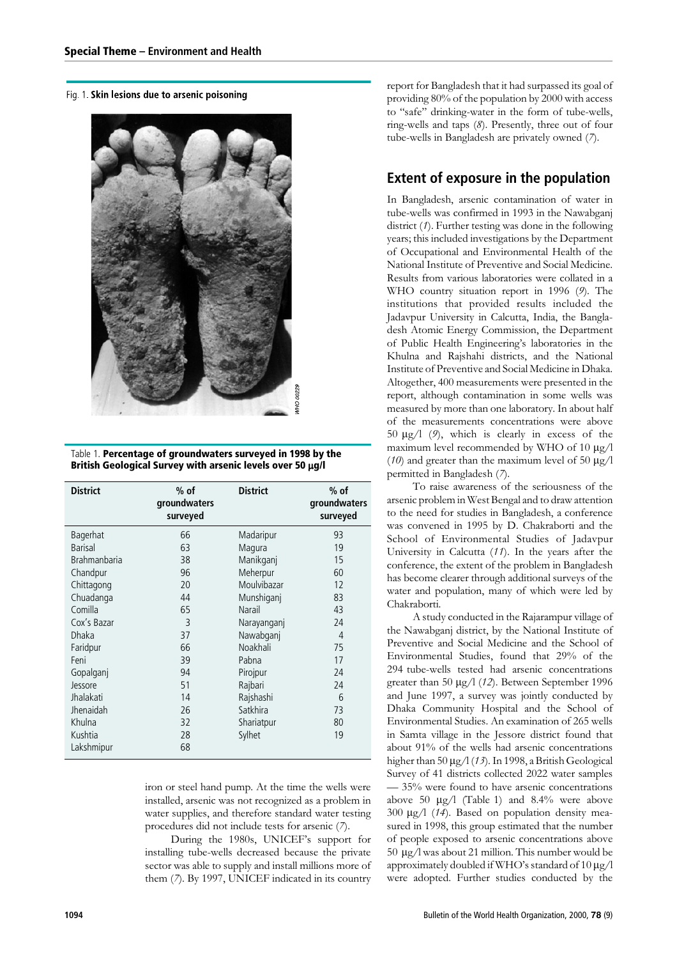Fig. 1. Skin lesions due to arsenic poisoning



Table 1. Percentage of groundwaters surveyed in 1998 by the British Geological Survey with arsenic levels over 50  $\mu$ g/l

| <b>District</b>     | $%$ of<br>groundwaters<br>surveyed | <b>District</b> | $%$ of<br>groundwaters<br>surveyed |
|---------------------|------------------------------------|-----------------|------------------------------------|
| Bagerhat            | 66                                 | Madaripur       | 93                                 |
| <b>Barisal</b>      | 63                                 | Magura          | 19                                 |
| <b>Brahmanbaria</b> | 38                                 | Manikganj       | 15                                 |
| Chandpur            | 96                                 | Meherpur        | 60                                 |
| Chittagong          | 20                                 | Moulvibazar     | 12                                 |
| Chuadanga           | 44                                 | Munshiganj      | 83                                 |
| Comilla             | 65                                 | Narail          | 43                                 |
| Cox's Bazar         | 3                                  | Narayanganj     | 24                                 |
| Dhaka               | 37                                 | Nawabganj       | 4                                  |
| Faridpur            | 66                                 | Noakhali        | 75                                 |
| Feni                | 39                                 | Pabna           | 17                                 |
| Gopalganj           | 94                                 | Pirojpur        | 24                                 |
| Jessore             | 51                                 | Rajbari         | 24                                 |
| Jhalakati           | 14                                 | Rajshashi       | 6                                  |
| Jhenaidah           | 26                                 | Satkhira        | 73                                 |
| Khulna              | 32                                 | Shariatpur      | 80                                 |
| Kushtia             | 28                                 | Sylhet          | 19                                 |
| Lakshmipur          | 68                                 |                 |                                    |

iron or steel hand pump. At the time the wells were installed, arsenic was not recognized as a problem in water supplies, and therefore standard water testing procedures did not include tests for arsenic (7).

During the 1980s, UNICEF's support for installing tube-wells decreased because the private sector was able to supply and install millions more of them (7). By 1997, UNICEF indicated in its country

report for Bangladesh that it had surpassed its goal of providing 80% of the population by 2000 with access to ''safe'' drinking-water in the form of tube-wells, ring-wells and taps (8). Presently, three out of four tube-wells in Bangladesh are privately owned (7).

# Extent of exposure in the population

In Bangladesh, arsenic contamination of water in tube-wells was confirmed in 1993 in the Nawabganj district  $(1)$ . Further testing was done in the following years; this included investigations by the Department of Occupational and Environmental Health of the National Institute of Preventive and Social Medicine. Results from various laboratories were collated in a WHO country situation report in 1996 (9). The institutions that provided results included the Jadavpur University in Calcutta, India, the Bangladesh Atomic Energy Commission, the Department of Public Health Engineering's laboratories in the Khulna and Rajshahi districts, and the National Institute of Preventive and Social Medicine in Dhaka. Altogether, 400 measurements were presented in the report, although contamination in some wells was measured by more than one laboratory. In about half of the measurements concentrations were above 50  $\mu$ g/l (9), which is clearly in excess of the maximum level recommended by WHO of  $10 \mu g/l$ (10) and greater than the maximum level of 50  $\mu$ g/l permitted in Bangladesh (7).

To raise awareness of the seriousness of the arsenic problem in West Bengal and to draw attention to the need for studies in Bangladesh, a conference was convened in 1995 by D. Chakraborti and the School of Environmental Studies of Jadavpur University in Calcutta (11). In the years after the conference, the extent of the problem in Bangladesh has become clearer through additional surveys of the water and population, many of which were led by Chakraborti.

A study conducted in the Rajarampur village of the Nawabganj district, by the National Institute of Preventive and Social Medicine and the School of Environmental Studies, found that 29% of the 294 tube-wells tested had arsenic concentrations greater than 50  $\mu$ g/l (12). Between September 1996 and June 1997, a survey was jointly conducted by Dhaka Community Hospital and the School of Environmental Studies. An examination of 265 wells in Samta village in the Jessore district found that about 91% of the wells had arsenic concentrations higher than 50  $\mu$ g/l (13). In 1998, a British Geological Survey of 41 districts collected 2022 water samples — 35% were found to have arsenic concentrations above 50  $\mu$ g/l (Table 1) and 8.4% were above 300  $\mu$ g/l (14). Based on population density measured in 1998, this group estimated that the number of people exposed to arsenic concentrations above 50  $\mu$ g/l was about 21 million. This number would be approximately doubled if WHO's standard of  $10 \mu g/l$ were adopted. Further studies conducted by the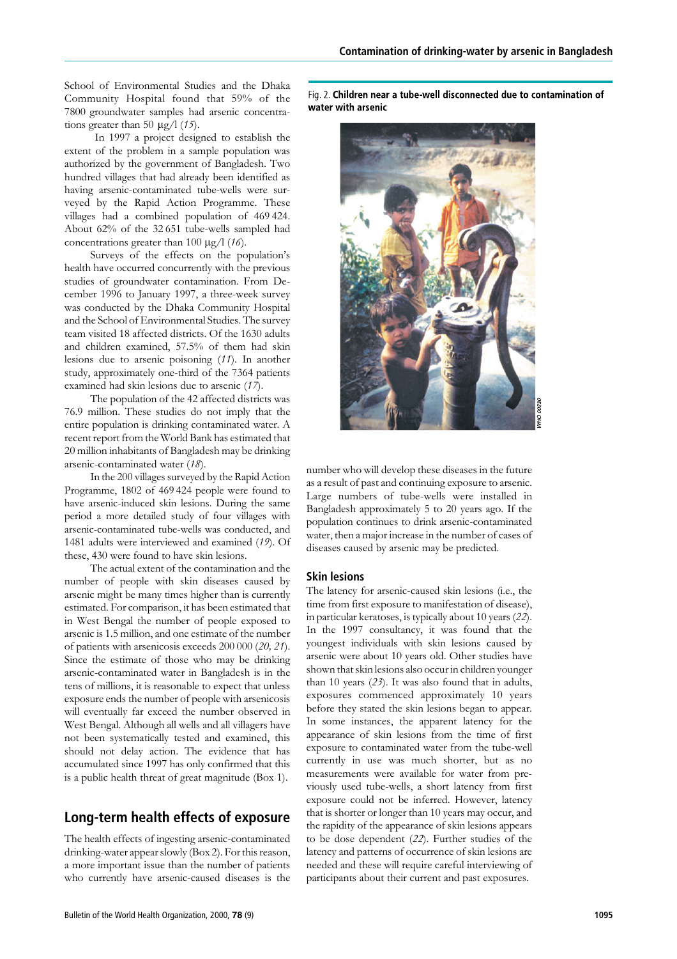School of Environmental Studies and the Dhaka Community Hospital found that 59% of the 7800 groundwater samples had arsenic concentrations greater than 50  $\mu$ g/l (15).

In 1997 a project designed to establish the extent of the problem in a sample population was authorized by the government of Bangladesh. Two hundred villages that had already been identified as having arsenic-contaminated tube-wells were surveyed by the Rapid Action Programme. These villages had a combined population of 469 424. About 62% of the 32 651 tube-wells sampled had concentrations greater than 100  $\mu$ g/l (16).

Surveys of the effects on the population's health have occurred concurrently with the previous studies of groundwater contamination. From December 1996 to January 1997, a three-week survey was conducted by the Dhaka Community Hospital and the School of Environmental Studies. The survey team visited 18 affected districts. Of the 1630 adults and children examined, 57.5% of them had skin lesions due to arsenic poisoning (11). In another study, approximately one-third of the 7364 patients examined had skin lesions due to arsenic (17).

The population of the 42 affected districts was 76.9 million. These studies do not imply that the entire population is drinking contaminated water. A recent report from the World Bank has estimated that 20 million inhabitants of Bangladesh may be drinking arsenic-contaminated water (18).

In the 200 villages surveyed by the Rapid Action Programme, 1802 of 469 424 people were found to have arsenic-induced skin lesions. During the same period a more detailed study of four villages with arsenic-contaminated tube-wells was conducted, and 1481 adults were interviewed and examined (19) . Of these, 430 were found to have skin lesions.

The actual extent of the contamination and the number of people with skin diseases caused by arsenic might be many times higher than is currently estimated. For comparison, it has been estimated that in West Bengal the number of people exposed to arsenic is 1.5 million, and one estimate of the number of patients with arsenicosis exceeds 200 000 (20, 21). Since the estimate of those who may be drinking arsenic-contaminated water in Bangladesh is in the tens of millions, it is reasonable to expect that unless exposure ends the number of people with arsenicosis will eventually far exceed the number observed in West Bengal. Although all wells and all villagers have not been systematically tested and examined, this should not delay action. The evidence that has accumulated since 1997 has only confirmed that this is a public health threat of great magnitude (Box 1).

# Long-term health effects of exposure

The health effects of ingesting arsenic-contaminated drinking-water appear slowly (Box 2). For this reason, a more important issue than the number of patients who currently have arsenic-caused diseases is the

Fig. 2. Children near a tube-well disconnected due to contamination of water with arsenic



number who will develop these diseases in the future as a result of past and continuing exposure to arsenic. Large numbers of tube-wells were installed in Bangladesh approximately 5 to 20 years ago. If the population continues to drink arsenic-contaminated water, then a major increase in the number of cases of diseases caused by arsenic may be predicted.

## Skin lesions

The latency for arsenic-caused skin lesions (i.e., the time from first exposure to manifestation of disease), in particular keratoses, is typically about 10 years (22). In the 1997 consultancy, it was found that the youngest individuals with skin lesions caused by arsenic were about 10 years old. Other studies have shown that skin lesions also occur in children younger than 10 years  $(23)$ . It was also found that in adults, exposures commenced approximately 10 years before they stated the skin lesions began to appear. In some instances, the apparent latency for the appearance of skin lesions from the time of first exposure to contaminated water from the tube-well currently in use was much shorter, but as no measurements were available for water from previously used tube-wells, a short latency from first exposure could not be inferred. However, latency that is shorter or longer than 10 years may occur, and the rapidity of the appearance of skin lesions appears to be dose dependent (22). Further studies of the latency and patterns of occurrence of skin lesions are needed and these will require careful interviewing of participants about their current and past exposures.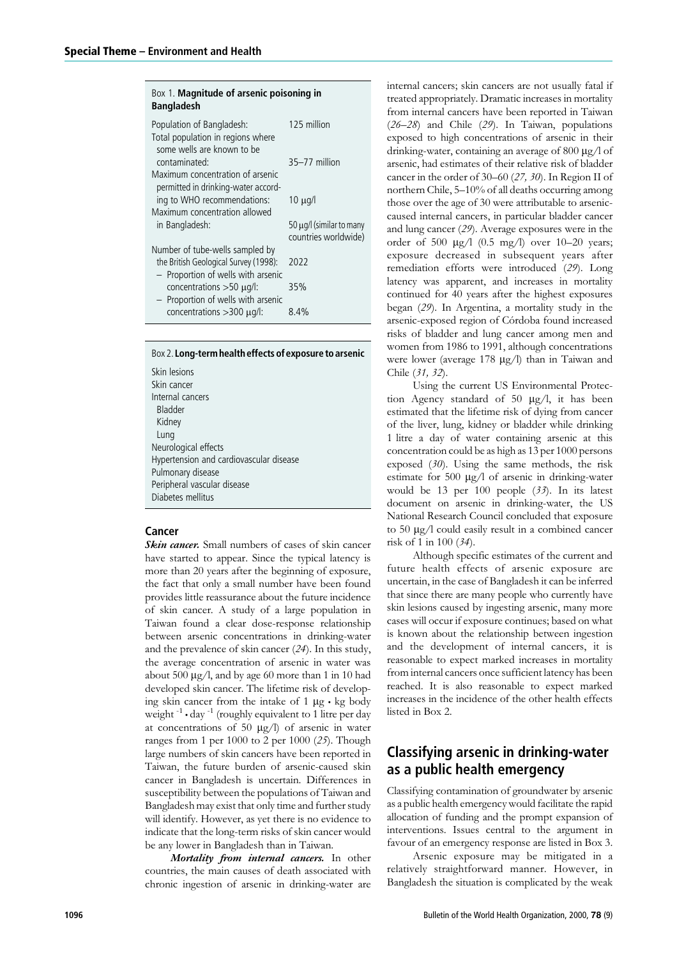|                   | Box 1. Magnitude of arsenic poisoning in |
|-------------------|------------------------------------------|
| <b>Bangladesh</b> |                                          |

| Population of Bangladesh:<br>Total population in regions where<br>some wells are known to be | 125 million                                      |
|----------------------------------------------------------------------------------------------|--------------------------------------------------|
| contaminated:                                                                                | 35-77 million                                    |
| Maximum concentration of arsenic<br>permitted in drinking-water accord-                      |                                                  |
| ing to WHO recommendations:                                                                  | $10 \mu q/l$                                     |
| Maximum concentration allowed                                                                |                                                  |
| in Bangladesh:                                                                               | 50 µg/l (similar to many<br>countries worldwide) |
| Number of tube-wells sampled by                                                              |                                                  |
| the British Geological Survey (1998):<br>- Proportion of wells with arsenic                  | 2022                                             |
| concentrations $>50 \mu q/l$ :                                                               | 35%                                              |
| - Proportion of wells with arsenic<br>concentrations $>300 \mu q/l$ :                        | 8.4%                                             |
|                                                                                              |                                                  |

Box 2. Long-term health effects of exposure to arsenic

Skin lesions Skin cancer Internal cancers Bladder Kidney Lung Neurological effects Hypertension and cardiovascular disease Pulmonary disease Peripheral vascular disease Diabetes mellitus

#### Cancer

Skin cancer. Small numbers of cases of skin cancer have started to appear. Since the typical latency is more than 20 years after the beginning of exposure, the fact that only a small number have been found provides little reassurance about the future incidence of skin cancer. A study of a large population in Taiwan found a clear dose-response relationship between arsenic concentrations in drinking-water and the prevalence of skin cancer (24). In this study, the average concentration of arsenic in water was about 500  $\mu$ g/l, and by age 60 more than 1 in 10 had developed skin cancer. The lifetime risk of developing skin cancer from the intake of  $1 \mu$ g  $\cdot$  kg body weight  $^{-1}$   $\cdot$  day  $^{-1}$  (roughly equivalent to 1 litre per day at concentrations of 50  $\mu$ g/l) of arsenic in water ranges from 1 per 1000 to 2 per 1000 (25). Though large numbers of skin cancers have been reported in Taiwan, the future burden of arsenic-caused skin cancer in Bangladesh is uncertain. Differences in susceptibility between the populations of Taiwan and Bangladesh may exist that only time and further study will identify. However, as yet there is no evidence to indicate that the long-term risks of skin cancer would be any lower in Bangladesh than in Taiwan.

Mortality from internal cancers. In other countries, the main causes of death associated with chronic ingestion of arsenic in drinking-water are

internal cancers; skin cancers are not usually fatal if treated appropriately. Dramatic increases in mortality from internal cancers have been reported in Taiwan  $(26-28)$  and Chile  $(29)$ . In Taiwan, populations exposed to high concentrations of arsenic in their drinking-water, containing an average of 800  $\mu$ g/l of arsenic, had estimates of their relative risk of bladder cancer in the order of 30–60 (27, 30). In Region II of northern Chile, 5–10% of all deaths occurring among those over the age of 30 were attributable to arseniccaused internal cancers, in particular bladder cancer and lung cancer (29). Average exposures were in the order of 500  $\mu$ g/l (0.5 mg/l) over 10–20 years; exposure decreased in subsequent years after remediation efforts were introduced (29). Long latency was apparent, and increases in mortality continued for 40 years after the highest exposures began (29). In Argentina, a mortality study in the arsenic-exposed region of Córdoba found increased risks of bladder and lung cancer among men and women from 1986 to 1991, although concentrations were lower (average  $178 \text{ µg/l}$ ) than in Taiwan and Chile (31, 32).

Using the current US Environmental Protection Agency standard of 50  $\mu$ g/l, it has been estimated that the lifetime risk of dying from cancer of the liver, lung, kidney or bladder while drinking 1 litre a day of water containing arsenic at this concentration could be as high as 13 per 1000 persons exposed (30). Using the same methods, the risk estimate for 500  $\mu$ g/l of arsenic in drinking-water would be 13 per 100 people (33). In its latest document on arsenic in drinking-water, the US National Research Council concluded that exposure to 50 mg/l could easily result in a combined cancer risk of 1 in 100 (34).

Although specific estimates of the current and future health effects of arsenic exposure are uncertain, in the case of Bangladesh it can be inferred that since there are many people who currently have skin lesions caused by ingesting arsenic, many more cases will occur if exposure continues; based on what is known about the relationship between ingestion and the development of internal cancers, it is reasonable to expect marked increases in mortality from internal cancers once sufficient latency has been reached. It is also reasonable to expect marked increases in the incidence of the other health effects listed in Box 2.

# Classifying arsenic in drinking-water as a public health emergency

Classifying contamination of groundwater by arsenic as a public health emergency would facilitate the rapid allocation of funding and the prompt expansion of interventions. Issues central to the argument in favour of an emergency response are listed in Box 3.

Arsenic exposure may be mitigated in a relatively straightforward manner. However, in Bangladesh the situation is complicated by the weak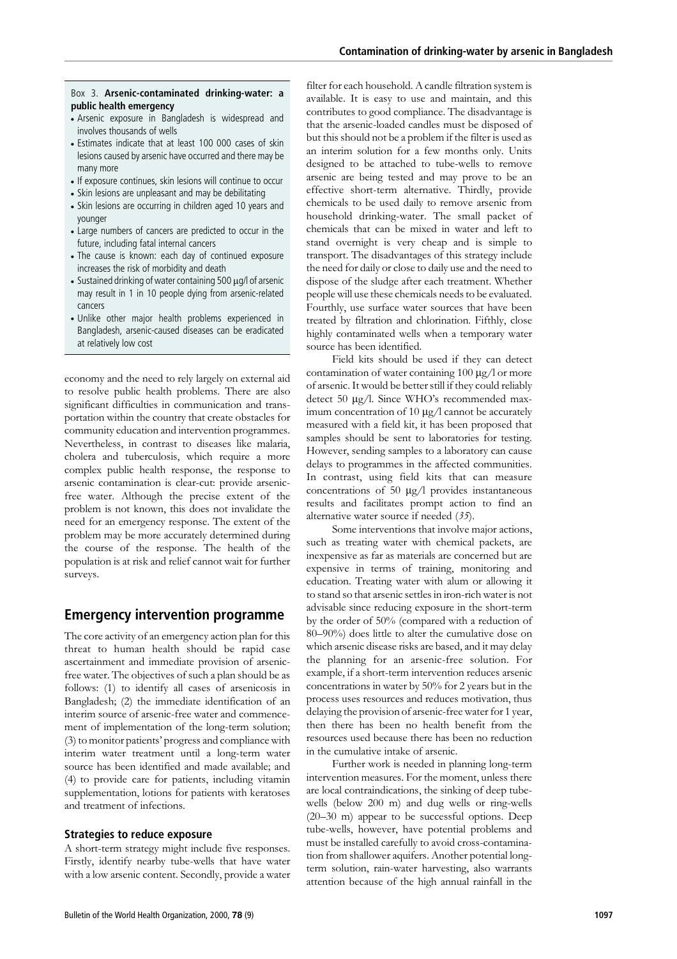#### Box 3. Arsenic-contaminated drinking-water: a public health emergency

- . Arsenic exposure in Bangladesh is widespread and involves thousands of wells
- . Estimates indicate that at least 100 000 cases of skin lesions caused by arsenic have occurred and there may be many more
- . If exposure continues, skin lesions will continue to occur
- . Skin lesions are unpleasant and may be debilitating
- . Skin lesions are occurring in children aged 10 years and younger
- . Large numbers of cancers are predicted to occur in the future, including fatal internal cancers
- . The cause is known: each day of continued exposure increases the risk of morbidity and death
- $\bullet$  Sustained drinking of water containing 500  $\mu$ g/l of arsenic may result in 1 in 10 people dying from arsenic-related cancers
- . Unlike other major health problems experienced in Bangladesh, arsenic-caused diseases can be eradicated at relatively low cost

economy and the need to rely largely on external aid to resolve public health problems. There are also significant difficulties in communication and transportation within the country that create obstacles for community education and intervention programmes. Nevertheless, in contrast to diseases like malaria, cholera and tuberculosis, which require a more complex public health response, the response to arsenic contamination is clear-cut: provide arsenicfree water. Although the precise extent of the problem is not known, this does not invalidate the need for an emergency response. The extent of the problem may be more accurately determined during the course of the response. The health of the population is at risk and relief cannot wait for further surveys.

# Emergency intervention programme

The core activity of an emergency action plan for this threat to human health should be rapid case ascertainment and immediate provision of arsenicfree water. The objectives of such a plan should be as follows: (1) to identify all cases of arsenicosis in Bangladesh; (2) the immediate identification of an interim source of arsenic-free water and commencement of implementation of the long-term solution; (3) to monitor patients' progress and compliance with interim water treatment until a long-term water source has been identified and made available; and  $(4)$  to provide care for patients, including vitamin supplementation, lotions for patients with keratoses and treatment of infections.

#### Strategies to reduce exposure

A short-term strategy might include five responses. Firstly, identify nearby tube-wells that have water with a low arsenic content. Secondly, provide a water

filter for each household. A candle filtration system is available. It is easy to use and maintain, and this contributes to good compliance. The disadvantage is that the arsenic-loaded candles must be disposed of but this should not be a problem if the filter is used as an interim solution for a few months only. Units designed to be attached to tube-wells to remove arsenic are being tested and may prove to be an effective short-term alternative. Thirdly, provide chemicals to be used daily to remove arsenic from household drinking-water. The small packet of chemicals that can be mixed in water and left to stand overnight is very cheap and is simple to transport. The disadvantages of this strategy include the need for daily or close to daily use and the need to dispose of the sludge after each treatment. Whether people will use these chemicals needs to be evaluated. Fourthly, use surface water sources that have been treated by filtration and chlorination. Fifthly, close highly contaminated wells when a temporary water source has been identified.

Field kits should be used if they can detect contamination of water containing  $100 \mu g / l$  or more of arsenic. It would be better still if they could reliably detect 50 µg/l. Since WHO's recommended maximum concentration of  $10 \mu g/l$  cannot be accurately measured with a field kit, it has been proposed that samples should be sent to laboratories for testing. However, sending samples to a laboratory can cause delays to programmes in the affected communities. In contrast, using field kits that can measure concentrations of 50  $\mu$ g/l provides instantaneous results and facilitates prompt action to find an alternative water source if needed (35).

Some interventions that involve major actions, such as treating water with chemical packets, are inexpensive as far as materials are concerned but are expensive in terms of training, monitoring and education. Treating water with alum or allowing it to stand so that arsenic settles in iron-rich water is not advisable since reducing exposure in the short-term by the order of 50% (compared with a reduction of 80–90%) does little to alter the cumulative dose on which arsenic disease risks are based, and it may delay the planning for an arsenic-free solution. For example, if a short-term intervention reduces arsenic concentrations in water by 50% for 2 years but in the process uses resources and reduces motivation, thus delaying the provision of arsenic-free water for 1 year, then there has been no health benefit from the resources used because there has been no reduction in the cumulative intake of arsenic.

Further work is needed in planning long-term intervention measures. For the moment, unless there are local contraindications, the sinking of deep tubewells (below 200 m) and dug wells or ring-wells  $(20-30)$  m) appear to be successful options. Deep tube-wells, however, have potential problems and must be installed carefully to avoid cross-contamination from shallower aquifers. Another potential longterm solution, rain-water harvesting, also warrants attention because of the high annual rainfall in the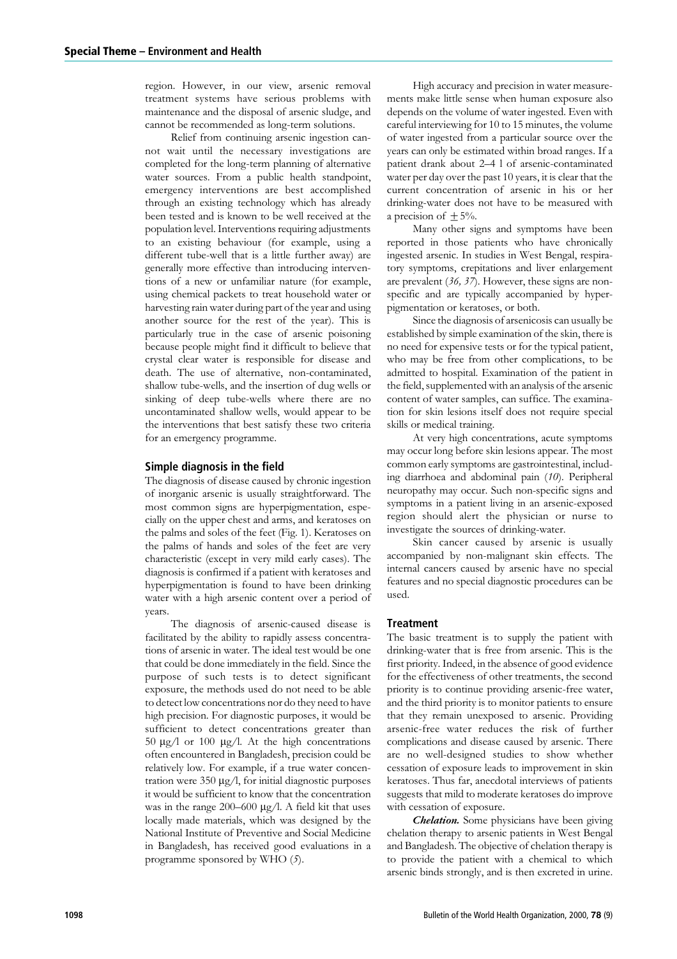region. However, in our view, arsenic removal treatment systems have serious problems with maintenance and the disposal of arsenic sludge, and cannot be recommended as long-term solutions.

Relief from continuing arsenic ingestion cannot wait until the necessary investigations are completed for the long-term planning of alternative water sources. From a public health standpoint, emergency interventions are best accomplished through an existing technology which has already been tested and is known to be well received at the population level. Interventions requiring adjustments to an existing behaviour (for example, using a different tube-well that is a little further away) are generally more effective than introducing interventions of a new or unfamiliar nature (for example, using chemical packets to treat household water or harvesting rain water during part of the year and using another source for the rest of the year). This is particularly true in the case of arsenic poisoning because people might find it difficult to believe that crystal clear water is responsible for disease and death. The use of alternative, non-contaminated, shallow tube-wells, and the insertion of dug wells or sinking of deep tube-wells where there are no uncontaminated shallow wells, would appear to be the interventions that best satisfy these two criteria for an emergency programme.

#### Simple diagnosis in the field

The diagnosis of disease caused by chronic ingestion of inorganic arsenic is usually straightforward. The most common signs are hyperpigmentation, especially on the upper chest and arms, and keratoses on the palms and soles of the feet (Fig. 1). Keratoses on the palms of hands and soles of the feet are very characteristic (except in very mild early cases). The diagnosis is confirmed if a patient with keratoses and hyperpigmentation is found to have been drinking water with a high arsenic content over a period of years.

The diagnosis of arsenic-caused disease is facilitated by the ability to rapidly assess concentrations of arsenic in water. The ideal test would be one that could be done immediately in the field. Since the purpose of such tests is to detect significant exposure, the methods used do not need to be able to detect low concentrations nor do they need to have high precision. For diagnostic purposes, it would be sufficient to detect concentrations greater than 50  $\mu$ g/l or 100  $\mu$ g/l. At the high concentrations often encountered in Bangladesh, precision could be relatively low. For example, if a true water concentration were 350  $\mu$ g/l, for initial diagnostic purposes it would be sufficient to know that the concentration was in the range  $200-600 \mu g/l$ . A field kit that uses locally made materials, which was designed by the National Institute of Preventive and Social Medicine in Bangladesh, has received good evaluations in a programme sponsored by WHO (5).

High accuracy and precision in water measurements make little sense when human exposure also depends on the volume of water ingested. Even with careful interviewing for 10 to 15 minutes, the volume of water ingested from a particular source over the years can only be estimated within broad ranges. If a patient drank about 2–4 l of arsenic-contaminated water per day over the past 10 years, it is clear that the current concentration of arsenic in his or her drinking-water does not have to be measured with a precision of  $\pm$  5%.

Many other signs and symptoms have been reported in those patients who have chronically ingested arsenic. In studies in West Bengal, respiratory symptoms, crepitations and liver enlargement are prevalent (36, 37). However, these signs are nonspecific and are typically accompanied by hyperpigmentation or keratoses, or both.

Since the diagnosis of arsenicosis can usually be established by simple examination of the skin, there is no need for expensive tests or for the typical patient, who may be free from other complications, to be admitted to hospital. Examination of the patient in the field, supplemented with an analysis of the arsenic content of water samples, can suffice. The examination for skin lesions itself does not require special skills or medical training.

At very high concentrations, acute symptoms may occur long before skin lesions appear. The most common early symptoms are gastrointestinal, including diarrhoea and abdominal pain (10). Peripheral neuropathy may occur. Such non-specific signs and symptoms in a patient living in an arsenic-exposed region should alert the physician or nurse to investigate the sources of drinking-water.

Skin cancer caused by arsenic is usually accompanied by non-malignant skin effects. The internal cancers caused by arsenic have no special features and no special diagnostic procedures can be used.

#### Treatment

The basic treatment is to supply the patient with drinking-water that is free from arsenic. This is the first priority. Indeed, in the absence of good evidence for the effectiveness of other treatments, the second priority is to continue providing arsenic-free water, and the third priority is to monitor patients to ensure that they remain unexposed to arsenic. Providing arsenic-free water reduces the risk of further complications and disease caused by arsenic. There are no well-designed studies to show whether cessation of exposure leads to improvement in skin keratoses. Thus far, anecdotal interviews of patients suggests that mild to moderate keratoses do improve with cessation of exposure.

**Chelation.** Some physicians have been giving chelation therapy to arsenic patients in West Bengal and Bangladesh. The objective of chelation therapy is to provide the patient with a chemical to which arsenic binds strongly, and is then excreted in urine.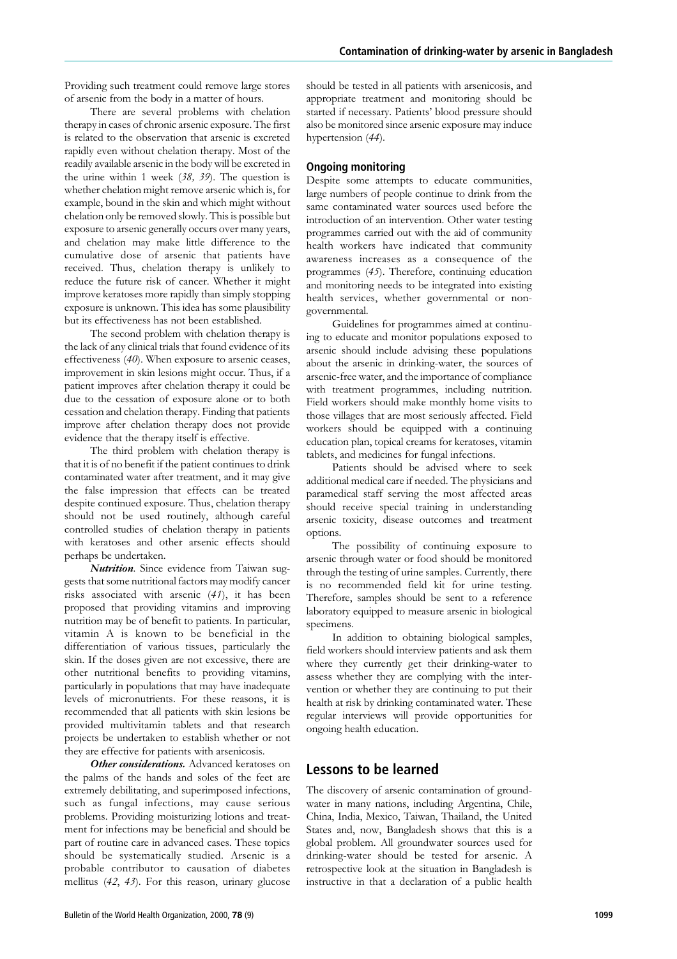Providing such treatment could remove large stores of arsenic from the body in a matter of hours.

There are several problems with chelation therapy in cases of chronic arsenic exposure. The first is related to the observation that arsenic is excreted rapidly even without chelation therapy. Most of the readily available arsenic in the body will be excreted in the urine within 1 week  $(38, 39)$ . The question is whether chelation might remove arsenic which is, for example, bound in the skin and which might without chelation only be removed slowly. This is possible but exposure to arsenic generally occurs over many years, and chelation may make little difference to the cumulative dose of arsenic that patients have received. Thus, chelation therapy is unlikely to reduce the future risk of cancer. Whether it might improve keratoses more rapidly than simply stopping exposure is unknown. This idea has some plausibility but its effectiveness has not been established.

The second problem with chelation therapy is the lack of any clinical trials that found evidence of its effectiveness (40). When exposure to arsenic ceases, improvement in skin lesions might occur. Thus, if a patient improves after chelation therapy it could be due to the cessation of exposure alone or to both cessation and chelation therapy. Finding that patients improve after chelation therapy does not provide evidence that the therapy itself is effective.

The third problem with chelation therapy is that it is of no benefit if the patient continues to drink contaminated water after treatment, and it may give the false impression that effects can be treated despite continued exposure. Thus, chelation therapy should not be used routinely, although careful controlled studies of chelation therapy in patients with keratoses and other arsenic effects should perhaps be undertaken.

Nutrition. Since evidence from Taiwan suggests that some nutritional factors may modify cancer risks associated with arsenic  $(41)$ , it has been proposed that providing vitamins and improving nutrition may be of benefit to patients. In particular, vitamin A is known to be beneficial in the differentiation of various tissues, particularly the skin. If the doses given are not excessive, there are other nutritional benefits to providing vitamins, particularly in populations that may have inadequate levels of micronutrients. For these reasons, it is recommended that all patients with skin lesions be provided multivitamin tablets and that research projects be undertaken to establish whether or not they are effective for patients with arsenicosis.

Other considerations. Advanced keratoses on the palms of the hands and soles of the feet are extremely debilitating, and superimposed infections, such as fungal infections, may cause serious problems. Providing moisturizing lotions and treatment for infections may be beneficial and should be part of routine care in advanced cases. These topics should be systematically studied. Arsenic is a probable contributor to causation of diabetes mellitus (42, 43). For this reason, urinary glucose should be tested in all patients with arsenicosis, and appropriate treatment and monitoring should be started if necessary. Patients' blood pressure should also be monitored since arsenic exposure may induce hypertension (44).

## Ongoing monitoring

Despite some attempts to educate communities, large numbers of people continue to drink from the same contaminated water sources used before the introduction of an intervention. Other water testing programmes carried out with the aid of community health workers have indicated that community awareness increases as a consequence of the programmes (45). Therefore, continuing education and monitoring needs to be integrated into existing health services, whether governmental or nongovernmental.

Guidelines for programmes aimed at continuing to educate and monitor populations exposed to arsenic should include advising these populations about the arsenic in drinking-water, the sources of arsenic-free water, and the importance of compliance with treatment programmes, including nutrition. Field workers should make monthly home visits to those villages that are most seriously affected. Field workers should be equipped with a continuing education plan, topical creams for keratoses, vitamin tablets, and medicines for fungal infections.

Patients should be advised where to seek additional medical care if needed. The physicians and paramedical staff serving the most affected areas should receive special training in understanding arsenic toxicity, disease outcomes and treatment options.

The possibility of continuing exposure to arsenic through water or food should be monitored through the testing of urine samples. Currently, there is no recommended field kit for urine testing. Therefore, samples should be sent to a reference laboratory equipped to measure arsenic in biological specimens.

In addition to obtaining biological samples, field workers should interview patients and ask them where they currently get their drinking-water to assess whether they are complying with the intervention or whether they are continuing to put their health at risk by drinking contaminated water. These regular interviews will provide opportunities for ongoing health education.

# Lessons to be learned

The discovery of arsenic contamination of groundwater in many nations, including Argentina, Chile, China, India, Mexico, Taiwan, Thailand, the United States and, now, Bangladesh shows that this is a global problem. All groundwater sources used for drinking-water should be tested for arsenic. A retrospective look at the situation in Bangladesh is instructive in that a declaration of a public health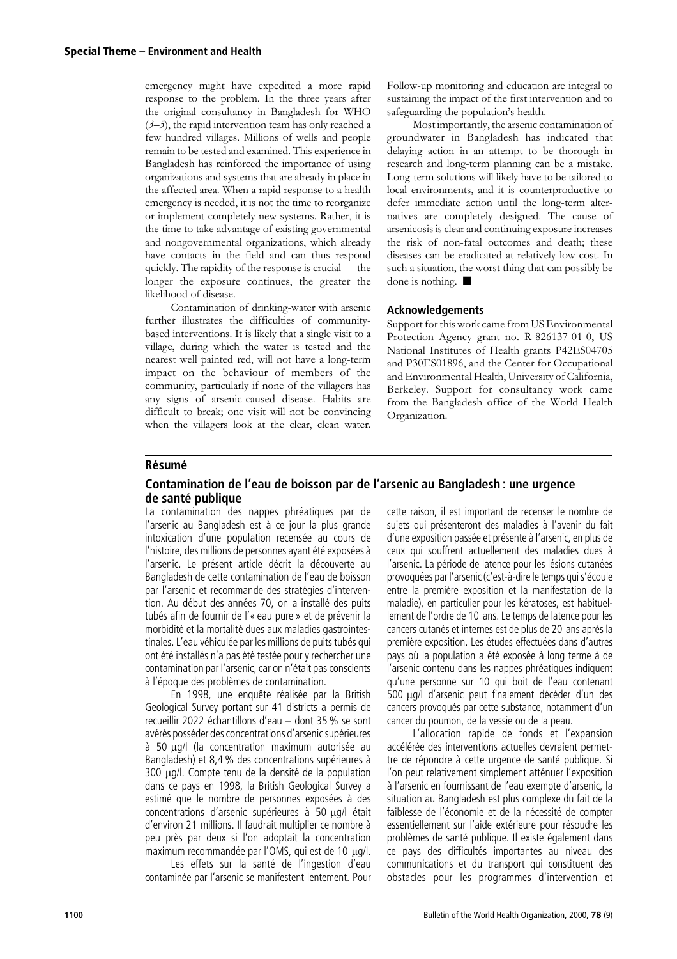emergency might have expedited a more rapid response to the problem. In the three years after the original consultancy in Bangladesh for WHO  $(3-5)$ , the rapid intervention team has only reached a few hundred villages. Millions of wells and people remain to be tested and examined. This experience in Bangladesh has reinforced the importance of using organizations and systems that are already in place in the affected area. When a rapid response to a health emergency is needed, it is not the time to reorganize or implement completely new systems. Rather, it is the time to take advantage of existing governmental and nongovernmental organizations, which already have contacts in the field and can thus respond quickly. The rapidity of the response is crucial — the longer the exposure continues, the greater the likelihood of disease.

Contamination of drinking-water with arsenic further illustrates the difficulties of communitybased interventions. It is likely that a single visit to a village, during which the water is tested and the nearest well painted red, will not have a long-term impact on the behaviour of members of the community, particularly if none of the villagers has any signs of arsenic-caused disease. Habits are difficult to break; one visit will not be convincing when the villagers look at the clear, clean water.

Follow-up monitoring and education are integral to sustaining the impact of the first intervention and to safeguarding the population's health.

Most importantly, the arsenic contamination of groundwater in Bangladesh has indicated that delaying action in an attempt to be thorough in research and long-term planning can be a mistake. Long-term solutions will likely have to be tailored to local environments, and it is counterproductive to defer immediate action until the long-term alternatives are completely designed. The cause of arsenicosis is clear and continuing exposure increases the risk of non-fatal outcomes and death; these diseases can be eradicated at relatively low cost. In such a situation, the worst thing that can possibly be done is nothing.  $\blacksquare$ 

#### Acknowledgements

Support for this work came from US Environmental Protection Agency grant no. R-826137-01-0, US National Institutes of Health grants P42ES04705 and P30ES01896, and the Center for Occupational and Environmental Health, University of California, Berkeley. Support for consultancy work came from the Bangladesh office of the World Health Organization.

#### **Résumé**

## Contamination de l'eau de boisson par de l'arsenic au Bangladesh : une urgence de santé publique

La contamination des nappes phréatiques par de l'arsenic au Bangladesh est à ce jour la plus grande intoxication d'une population recensée au cours de l'histoire, des millions de personnes ayant été exposées à l'arsenic. Le présent article décrit la découverte au Bangladesh de cette contamination de l'eau de boisson par l'arsenic et recommande des stratégies d'intervention. Au début des années 70, on a installé des puits tubés afin de fournir de l'« eau pure » et de prévenir la morbidité et la mortalité dues aux maladies gastrointestinales. L'eau véhiculée par les millions de puits tubés qui ont été installés n'a pas été testée pour y rechercher une contamination par l'arsenic, car on n'était pas conscients à l'époque des problèmes de contamination.

En 1998, une enquête réalisée par la British Geological Survey portant sur 41 districts a permis de recueillir 2022 échantillons d'eau – dont 35 % se sont avérés posséder des concentrations d'arsenic supérieures  $\dot{a}$  50  $\mu$ g/l (la concentration maximum autorisée au Bangladesh) et 8,4 % des concentrations supérieures à  $300 \mu q/l$ . Compte tenu de la densité de la population dans ce pays en 1998, la British Geological Survey a estimé que le nombre de personnes exposées à des concentrations d'arsenic supérieures à 50 µg/l était d'environ 21 millions. Il faudrait multiplier ce nombre a` peu près par deux si l'on adoptait la concentration maximum recommandée par l'OMS, qui est de 10 µg/l.

Les effets sur la santé de l'ingestion d'eau contaminée par l'arsenic se manifestent lentement. Pour cette raison, il est important de recenser le nombre de sujets qui présenteront des maladies à l'avenir du fait d'une exposition passée et présente à l'arsenic, en plus de ceux qui souffrent actuellement des maladies dues à l'arsenic. La période de latence pour les lésions cutanées provoquées par l'arsenic (c'est-à-dire le temps qui s'écoule entre la première exposition et la manifestation de la maladie), en particulier pour les kératoses, est habituellement de l'ordre de 10 ans. Le temps de latence pour les cancers cutanés et internes est de plus de 20 ans après la première exposition. Les études effectuées dans d'autres pays où la population a été exposée à long terme à de l'arsenic contenu dans les nappes phréatiques indiquent qu'une personne sur 10 qui boit de l'eau contenant 500 μg/l d'arsenic peut finalement décéder d'un des cancers provoqués par cette substance, notamment d'un cancer du poumon, de la vessie ou de la peau.

L'allocation rapide de fonds et l'expansion accélérée des interventions actuelles devraient permettre de répondre à cette urgence de santé publique. Si l'on peut relativement simplement atténuer l'exposition à l'arsenic en fournissant de l'eau exempte d'arsenic, la situation au Bangladesh est plus complexe du fait de la faiblesse de l'économie et de la nécessité de compter essentiellement sur l'aide extérieure pour résoudre les problèmes de santé publique. Il existe également dans ce pays des difficultés importantes au niveau des communications et du transport qui constituent des obstacles pour les programmes d'intervention et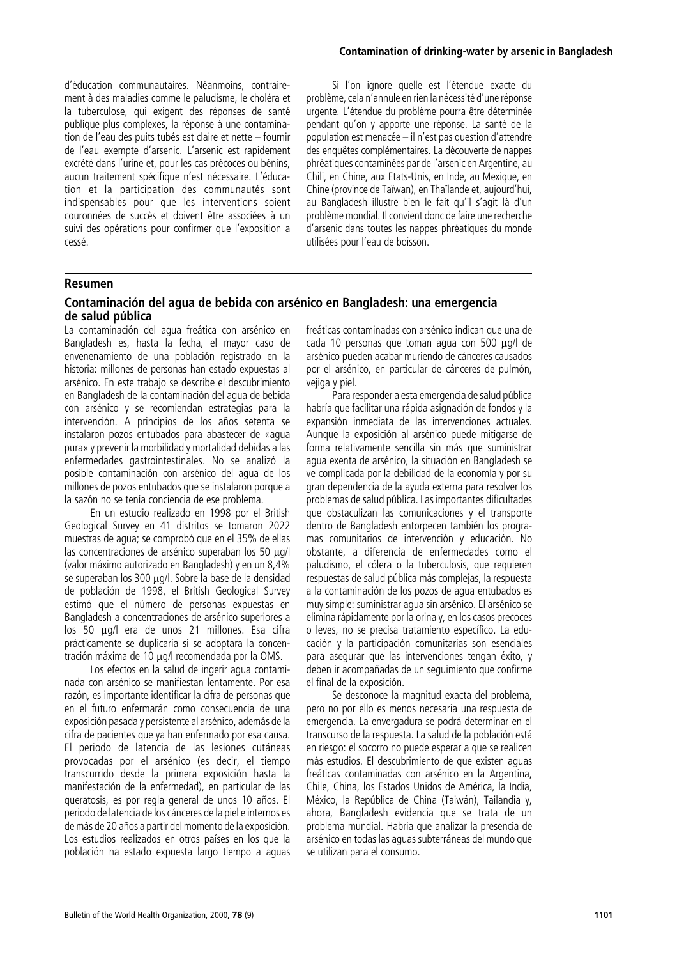d'éducation communautaires. Néanmoins, contrairement à des maladies comme le paludisme, le choléra et la tuberculose, qui exigent des réponses de santé publique plus complexes, la réponse à une contamination de l'eau des puits tubés est claire et nette – fournir de l'eau exempte d'arsenic. L'arsenic est rapidement excrété dans l'urine et, pour les cas précoces ou bénins, aucun traitement spécifique n'est nécessaire. L'éducation et la participation des communautés sont indispensables pour que les interventions soient couronnées de succès et doivent être associées à un suivi des opérations pour confirmer que l'exposition a cessé.

Si l'on ignore quelle est l'étendue exacte du problème, cela n'annule en rien la nécessité d'une réponse urgente. L'étendue du problème pourra être déterminée pendant qu'on y apporte une réponse. La santé de la population est menacée – il n'est pas question d'attendre des enquêtes complémentaires. La découverte de nappes phréatiques contaminées par de l'arsenic en Argentine, au Chili, en Chine, aux Etats-Unis, en Inde, au Mexique, en Chine (province de Taïwan), en Thaïlande et, aujourd'hui, au Bangladesh illustre bien le fait qu'il s'agit là d'un problème mondial. Il convient donc de faire une recherche d'arsenic dans toutes les nappes phréatiques du monde utilisées pour l'eau de boisson.

## Resumen

# Contaminación del agua de bebida con arsénico en Bangladesh: una emergencia de salud pública

La contaminación del agua freática con arsénico en Bangladesh es, hasta la fecha, el mayor caso de envenenamiento de una población registrado en la historia: millones de personas han estado expuestas al arsénico. En este trabajo se describe el descubrimiento en Bangladesh de la contaminación del agua de bebida con arsénico y se recomiendan estrategias para la intervención. A principios de los años setenta se instalaron pozos entubados para abastecer de «agua pura» y prevenir la morbilidad y mortalidad debidas a las enfermedades gastrointestinales. No se analizó la posible contaminación con arsénico del agua de los millones de pozos entubados que se instalaron porque a la sazón no se tenía conciencia de ese problema.

En un estudio realizado en 1998 por el British Geological Survey en 41 distritos se tomaron 2022 muestras de agua; se comprobó que en el 35% de ellas las concentraciones de arsénico superaban los 50  $\mu$ g/l (valor máximo autorizado en Bangladesh) y en un 8,4% se superaban los 300 µg/l. Sobre la base de la densidad de población de 1998, el British Geological Survey estimó que el número de personas expuestas en Bangladesh a concentraciones de arsénico superiores a los 50 mg/l era de unos 21 millones. Esa cifra prácticamente se duplicaría si se adoptara la concentración máxima de 10 µg/l recomendada por la OMS.

Los efectos en la salud de ingerir agua contaminada con arsénico se manifiestan lentamente. Por esa razón, es importante identificar la cifra de personas que en el futuro enfermarán como consecuencia de una exposición pasada y persistente al arsénico, además de la cifra de pacientes que ya han enfermado por esa causa. El periodo de latencia de las lesiones cutáneas provocadas por el arsénico (es decir, el tiempo transcurrido desde la primera exposición hasta la manifestación de la enfermedad), en particular de las queratosis, es por regla general de unos 10 años. El periodo de latencia de los cánceres de la piel e internos es de más de 20 años a partir del momento de la exposición. Los estudios realizados en otros países en los que la población ha estado expuesta largo tiempo a aguas freáticas contaminadas con arsénico indican que una de cada 10 personas que toman agua con 500  $\mu$ q/l de arsénico pueden acabar muriendo de cánceres causados por el arsénico, en particular de cánceres de pulmón, vejiga y piel.

Para responder a esta emergencia de salud pública habría que facilitar una rápida asignación de fondos y la expansión inmediata de las intervenciones actuales. Aunque la exposición al arsénico puede mitigarse de forma relativamente sencilla sin más que suministrar agua exenta de arsénico, la situación en Bangladesh se ve complicada por la debilidad de la economía y por su gran dependencia de la ayuda externa para resolver los problemas de salud pública. Las importantes dificultades que obstaculizan las comunicaciones y el transporte dentro de Bangladesh entorpecen también los programas comunitarios de intervención y educación. No obstante, a diferencia de enfermedades como el paludismo, el cólera o la tuberculosis, que requieren respuestas de salud pública más complejas, la respuesta a la contaminación de los pozos de agua entubados es muy simple: suministrar agua sin arsénico. El arsénico se elimina rápidamente por la orina y, en los casos precoces o leves, no se precisa tratamiento específico. La educación y la participación comunitarias son esenciales para asegurar que las intervenciones tengan éxito, y deben ir acompañadas de un seguimiento que confirme el final de la exposición.

Se desconoce la magnitud exacta del problema, pero no por ello es menos necesaria una respuesta de emergencia. La envergadura se podrá determinar en el transcurso de la respuesta. La salud de la población está en riesgo: el socorro no puede esperar a que se realicen más estudios. El descubrimiento de que existen aguas freáticas contaminadas con arsénico en la Argentina, Chile, China, los Estados Unidos de América, la India, México, la República de China (Taiwán), Tailandia y, ahora, Bangladesh evidencia que se trata de un problema mundial. Habría que analizar la presencia de arsénico en todas las aguas subterráneas del mundo que se utilizan para el consumo.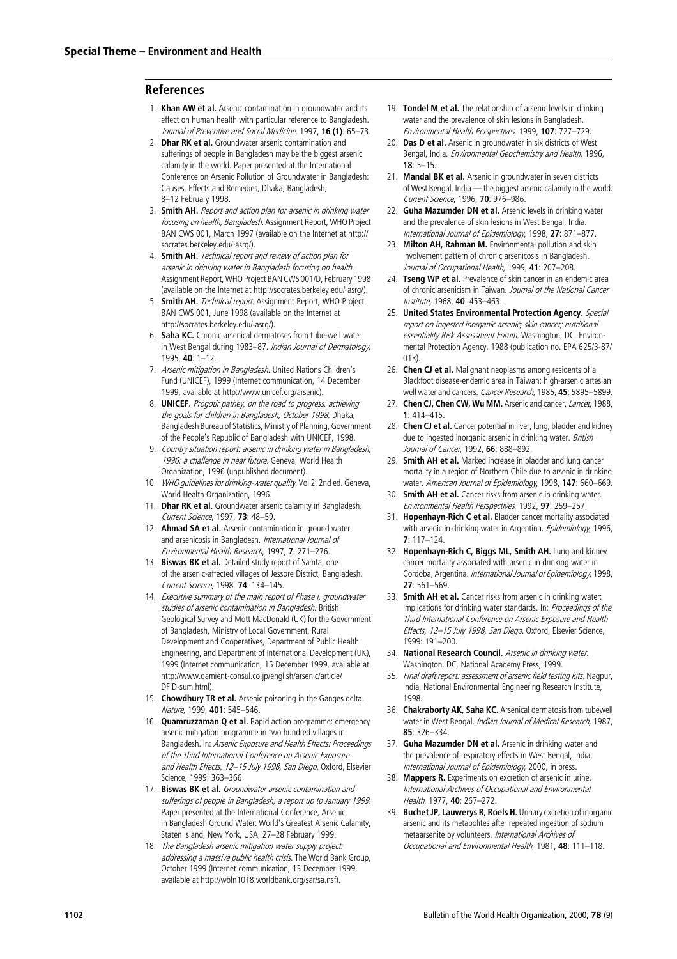#### References

- 1. Khan AW et al. Arsenic contamination in groundwater and its effect on human health with particular reference to Bangladesh. Journal of Preventive and Social Medicine, 1997, 16 (1): 65-73.
- 2. **Dhar RK et al.** Groundwater arsenic contamination and sufferings of people in Bangladesh may be the biggest arsenic calamity in the world. Paper presented at the International Conference on Arsenic Pollution of Groundwater in Bangladesh: Causes, Effects and Remedies, Dhaka, Bangladesh, 8–12 February 1998.
- 3. Smith AH. Report and action plan for arsenic in drinking water focusing on health, Bangladesh. Assignment Report, WHO Project BAN CWS 001, March 1997 (available on the Internet at http:// socrates.berkeley.edu/˜ asrg/).
- 4. Smith AH. Technical report and review of action plan for arsenic in drinking water in Bangladesh focusing on health. Assignment Report, WHO Project BAN CWS 001/D, February 1998 (available on the Internet at http://socrates.berkeley.edu/˜ asrg/).
- 5. **Smith AH.** Technical report. Assignment Report, WHO Project BAN CWS 001, June 1998 (available on the Internet at http://socrates.berkeley.edu/~asrg/).<br>a
- 6. Saha KC. Chronic arsenical dermatoses from tube-well water in West Bengal during 1983–87. Indian Journal of Dermatology, 1995 $40:1-12$
- 7. Arsenic mitigation in Bangladesh. United Nations Children's Fund (UNICEF), 1999 (Internet communication, 14 December 1999, available at http://www.unicef.org/arsenic).
- 8. **UNICEF.** Progotir pathey, on the road to progress; achieving the goals for children in Bangladesh, October 1998. Dhaka, Bangladesh Bureau of Statistics, Ministry of Planning, Government of the People's Republic of Bangladesh with UNICEF, 1998.
- 9. Country situation report: arsenic in drinking water in Bangladesh, 1996: a challenge in near future. Geneva, World Health Organization, 1996 (unpublished document).
- 10. WHO quidelines for drinking-water quality. Vol 2, 2nd ed. Geneva, World Health Organization, 1996.
- 11. **Dhar RK et al.** Groundwater arsenic calamity in Bangladesh. Current Science, 1997, 73: 48-59.
- 12. Ahmad SA et al. Arsenic contamination in ground water and arsenicosis in Bangladesh. International Journal of Environmental Health Research, 1997, 7: 271–276.
- 13. Biswas BK et al. Detailed study report of Samta, one of the arsenic-affected villages of Jessore District, Bangladesh. Current Science, 1998, 74: 134–145.
- 14. Executive summary of the main report of Phase I, groundwater studies of arsenic contamination in Bangladesh. British Geological Survey and Mott MacDonald (UK) for the Government of Bangladesh, Ministry of Local Government, Rural Development and Cooperatives, Department of Public Health Engineering, and Department of International Development (UK), 1999 (Internet communication, 15 December 1999, available at http://www.damient-consul.co.jp/english/arsenic/article/ DFID-sum.html).
- 15. Chowdhury TR et al. Arsenic poisoning in the Ganges delta. Nature, 1999, 401: 545-546.
- 16. Quamruzzaman Q et al. Rapid action programme: emergency arsenic mitigation programme in two hundred villages in Bangladesh. In: Arsenic Exposure and Health Effects: Proceedings of the Third International Conference on Arsenic Exposure and Health Effects, 12–15 July 1998, San Diego. Oxford, Elsevier Science, 1999: 363–366.
- 17. Biswas BK et al. Groundwater arsenic contamination and sufferings of people in Bangladesh, <sup>a</sup> report up to January 1999. Paper presented at the International Conference, Arsenic in Bangladesh Ground Water: World's Greatest Arsenic Calamity, Staten Island, New York, USA, 27–28 February 1999.
- 18. The Bangladesh arsenic mitigation water supply project: addressing a massive public health crisis. The World Bank Group, October 1999 (Internet communication, 13 December 1999, available at http://wbln1018.worldbank.org/sar/sa.nsf).
- 19. Tondel M et al. The relationship of arsenic levels in drinking water and the prevalence of skin lesions in Bangladesh. Environmental Health Perspectives, 1999, 107: 727–729.
- 20. Das D et al. Arsenic in groundwater in six districts of West Bengal, India. Environmental Geochemistry and Health, 1996, 18: 5–15.
- 21. Mandal BK et al. Arsenic in groundwater in seven districts of West Bengal, India — the biggest arsenic calamity in the world. Current Science, 1996, 70: 976-986.
- 22. Guha Mazumder DN et al. Arsenic levels in drinking water and the prevalence of skin lesions in West Bengal, India. International Journal of Epidemiology, 1998, 27: 871–877.
- 23. Milton AH, Rahman M. Environmental pollution and skin involvement pattern of chronic arsenicosis in Bangladesh. Journal of Occupational Health, 1999, 41: 207-208.
- 24. Tseng WP et al. Prevalence of skin cancer in an endemic area of chronic arsenicism in Taiwan. Journal of the National Cancer Institute, 1968, 40: 453–463.
- 25. United States Environmental Protection Agency. Special report on ingested inorganic arsenic; skin cancer; nutritional essentiality Risk Assessment Forum. Washington, DC, Environmental Protection Agency, 1988 (publication no. EPA 625/3-87/ 013).
- 26. Chen CJ et al. Malignant neoplasms among residents of a Blackfoot disease-endemic area in Taiwan: high-arsenic artesian well water and cancers. Cancer Research, 1985, 45: 5895-5899.
- 27. Chen CJ, Chen CW, Wu MM. Arsenic and cancer. *Lancet*, 1988. 1: 414–415.
- 28. Chen CJ et al. Cancer potential in liver, lung, bladder and kidney due to ingested inorganic arsenic in drinking water. British Journal of Cancer, 1992, 66: 888-892.
- 29. **Smith AH et al.** Marked increase in bladder and lung cancer mortality in a region of Northern Chile due to arsenic in drinking water. American Journal of Epidemiology, 1998, 147: 660-669.
- 30. **Smith AH et al.** Cancer risks from arsenic in drinking water. Environmental Health Perspectives, 1992, 97: 259–257.
- 31. Hopenhayn-Rich C et al. Bladder cancer mortality associated with arsenic in drinking water in Argentina. Epidemiology, 1996, 7: 117–124.
- 32. Hopenhayn-Rich C, Biggs ML, Smith AH. Lung and kidney cancer mortality associated with arsenic in drinking water in Cordoba, Argentina. International Journal of Epidemiology, 1998, 27: 561–569.
- 33. Smith AH et al. Cancer risks from arsenic in drinking water: implications for drinking water standards. In: Proceedings of the Third International Conference on Arsenic Exposure and Health Effects, 12–15 July 1998, San Diego. Oxford, Elsevier Science, 1999: 191–200.
- 34. National Research Council. Arsenic in drinking water. Washington, DC, National Academy Press, 1999.
- 35. Final draft report: assessment of arsenic field testing kits. Nagpur, India, National Environmental Engineering Research Institute, 1998.
- 36. Chakraborty AK, Saha KC. Arsenical dermatosis from tubewell water in West Bengal. Indian Journal of Medical Research, 1987, 85: 326–334.
- 37. Guha Mazumder DN et al. Arsenic in drinking water and the prevalence of respiratory effects in West Bengal, India. International Journal of Epidemiology, 2000, in press.
- 38. Mappers R. Experiments on excretion of arsenic in urine. International Archives of Occupational and Environmental Health, 1977, 40: 267–272.
- 39. Buchet JP, Lauwerys R, Roels H. Urinary excretion of inorganic arsenic and its metabolites after repeated ingestion of sodium metaarsenite by volunteers. International Archives of Occupational and Environmental Health, 1981, 48: 111-118.